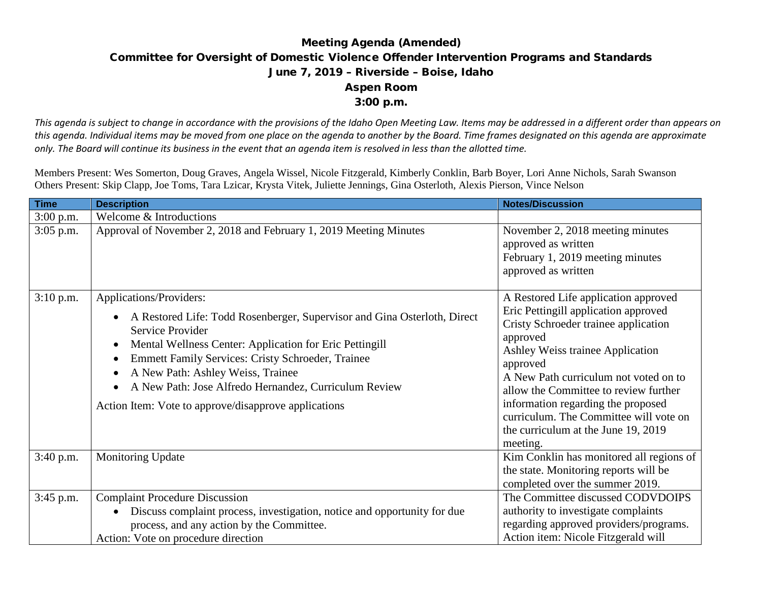## Meeting Agenda (Amended) Committee for Oversight of Domestic Violence Offender Intervention Programs and Standards June 7, 2019 – Riverside – Boise, Idaho Aspen Room 3:00 p.m.

*This agenda is subject to change in accordance with the provisions of the Idaho Open Meeting Law. Items may be addressed in a different order than appears on this agenda. Individual items may be moved from one place on the agenda to another by the Board. Time frames designated on this agenda are approximate only. The Board will continue its business in the event that an agenda item is resolved in less than the allotted time.*

Members Present: Wes Somerton, Doug Graves, Angela Wissel, Nicole Fitzgerald, Kimberly Conklin, Barb Boyer, Lori Anne Nichols, Sarah Swanson Others Present: Skip Clapp, Joe Toms, Tara Lzicar, Krysta Vitek, Juliette Jennings, Gina Osterloth, Alexis Pierson, Vince Nelson

| <b>Time</b> | <b>Description</b>                                                                                                                                                                                                                                                                                                                                                                                                                                       | <b>Notes/Discussion</b>                                                                                                                                                                                                                                                                                                                                                                               |
|-------------|----------------------------------------------------------------------------------------------------------------------------------------------------------------------------------------------------------------------------------------------------------------------------------------------------------------------------------------------------------------------------------------------------------------------------------------------------------|-------------------------------------------------------------------------------------------------------------------------------------------------------------------------------------------------------------------------------------------------------------------------------------------------------------------------------------------------------------------------------------------------------|
| 3:00 p.m.   | Welcome & Introductions                                                                                                                                                                                                                                                                                                                                                                                                                                  |                                                                                                                                                                                                                                                                                                                                                                                                       |
| 3:05 p.m.   | Approval of November 2, 2018 and February 1, 2019 Meeting Minutes                                                                                                                                                                                                                                                                                                                                                                                        | November 2, 2018 meeting minutes<br>approved as written<br>February 1, 2019 meeting minutes<br>approved as written                                                                                                                                                                                                                                                                                    |
| $3:10$ p.m. | Applications/Providers:<br>A Restored Life: Todd Rosenberger, Supervisor and Gina Osterloth, Direct<br>$\bullet$<br>Service Provider<br>Mental Wellness Center: Application for Eric Pettingill<br>$\bullet$<br><b>Emmett Family Services: Cristy Schroeder, Trainee</b><br>$\bullet$<br>A New Path: Ashley Weiss, Trainee<br>$\bullet$<br>A New Path: Jose Alfredo Hernandez, Curriculum Review<br>Action Item: Vote to approve/disapprove applications | A Restored Life application approved<br>Eric Pettingill application approved<br>Cristy Schroeder trainee application<br>approved<br>Ashley Weiss trainee Application<br>approved<br>A New Path curriculum not voted on to<br>allow the Committee to review further<br>information regarding the proposed<br>curriculum. The Committee will vote on<br>the curriculum at the June 19, 2019<br>meeting. |
| 3:40 p.m.   | Monitoring Update                                                                                                                                                                                                                                                                                                                                                                                                                                        | Kim Conklin has monitored all regions of<br>the state. Monitoring reports will be<br>completed over the summer 2019.                                                                                                                                                                                                                                                                                  |
| 3:45 p.m.   | <b>Complaint Procedure Discussion</b><br>Discuss complaint process, investigation, notice and opportunity for due<br>$\bullet$<br>process, and any action by the Committee.<br>Action: Vote on procedure direction                                                                                                                                                                                                                                       | The Committee discussed CODVDOIPS<br>authority to investigate complaints<br>regarding approved providers/programs.<br>Action item: Nicole Fitzgerald will                                                                                                                                                                                                                                             |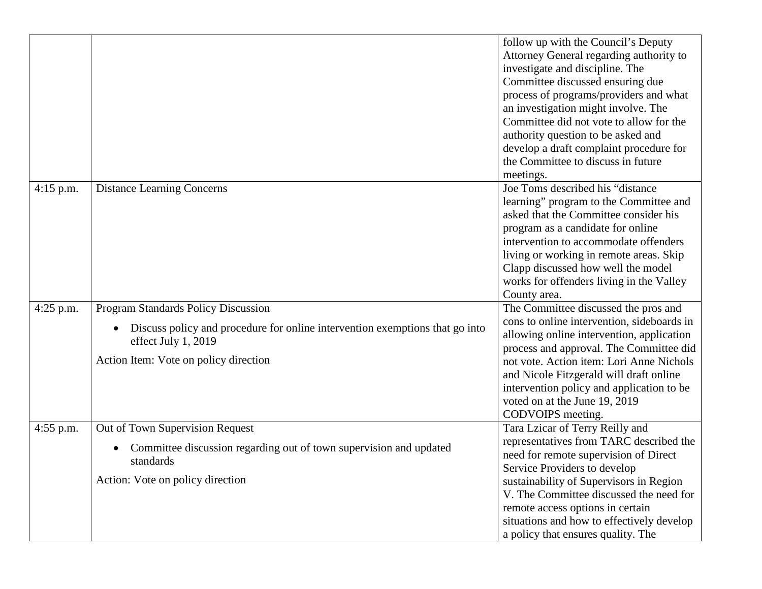|             |                                                                                                                                                        | follow up with the Council's Deputy<br>Attorney General regarding authority to<br>investigate and discipline. The<br>Committee discussed ensuring due<br>process of programs/providers and what<br>an investigation might involve. The<br>Committee did not vote to allow for the<br>authority question to be asked and<br>develop a draft complaint procedure for<br>the Committee to discuss in future<br>meetings. |
|-------------|--------------------------------------------------------------------------------------------------------------------------------------------------------|-----------------------------------------------------------------------------------------------------------------------------------------------------------------------------------------------------------------------------------------------------------------------------------------------------------------------------------------------------------------------------------------------------------------------|
| $4:15$ p.m. | <b>Distance Learning Concerns</b>                                                                                                                      | Joe Toms described his "distance<br>learning" program to the Committee and<br>asked that the Committee consider his<br>program as a candidate for online<br>intervention to accommodate offenders<br>living or working in remote areas. Skip<br>Clapp discussed how well the model<br>works for offenders living in the Valley<br>County area.                                                                        |
| $4:25$ p.m. | <b>Program Standards Policy Discussion</b>                                                                                                             | The Committee discussed the pros and                                                                                                                                                                                                                                                                                                                                                                                  |
|             | Discuss policy and procedure for online intervention exemptions that go into<br>effect July 1, 2019<br>Action Item: Vote on policy direction           | cons to online intervention, sideboards in<br>allowing online intervention, application<br>process and approval. The Committee did<br>not vote. Action item: Lori Anne Nichols<br>and Nicole Fitzgerald will draft online<br>intervention policy and application to be<br>voted on at the June 19, 2019<br>CODVOIPS meeting.                                                                                          |
| $4:55$ p.m. | Out of Town Supervision Request<br>Committee discussion regarding out of town supervision and updated<br>standards<br>Action: Vote on policy direction | Tara Lzicar of Terry Reilly and<br>representatives from TARC described the<br>need for remote supervision of Direct<br>Service Providers to develop<br>sustainability of Supervisors in Region<br>V. The Committee discussed the need for<br>remote access options in certain<br>situations and how to effectively develop<br>a policy that ensures quality. The                                                      |